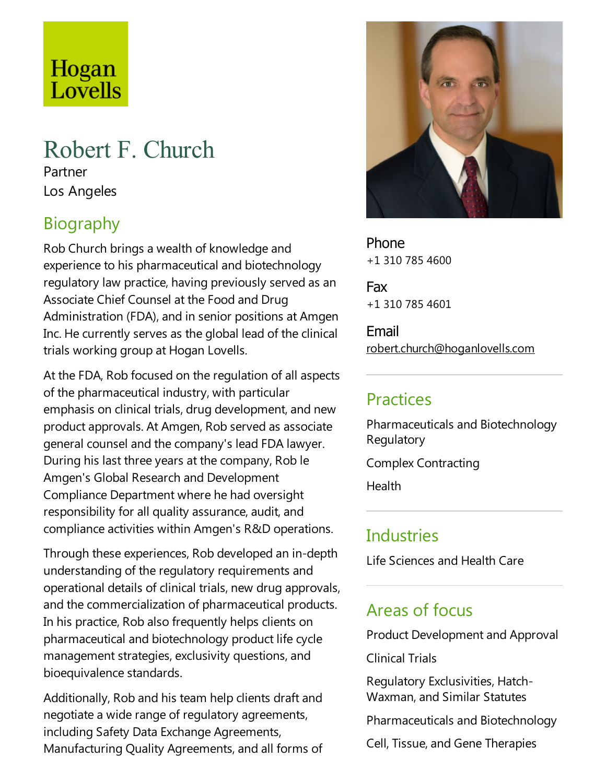# Hogan<br>Lovells

# Robert F. Church

Partner Los Angeles

# Biography

Rob Church brings a wealth of knowledge and experience to his pharmaceutical and biotechnology regulatory law practice, having previously served as an Associate Chief Counsel at the Food and Drug Administration (FDA), and in senior positions at Amgen Inc. He currently serves as the global lead of the clinical trials working group at Hogan Lovells.

At the FDA, Rob focused on the regulation of all aspects of the pharmaceutical industry, with particular emphasis on clinical trials, drug development, and new product approvals. At Amgen, Rob served as associate general counsel and the company's lead FDA lawyer. During his last three years at the company, Rob le Amgen's Global Research and Development Compliance Department where he had oversight responsibility for all quality assurance, audit, and compliance activities within Amgen's R&D operations.

Through these experiences, Rob developed an in-depth understanding of the regulatory requirements and operational details of clinical trials, new drug approvals, and the commercialization of pharmaceutical products. In his practice, Rob also frequently helps clients on pharmaceutical and biotechnology product lifecycle management strategies, exclusivity questions, and bioequivalence standards.

Additionally, Rob and his team help clients draft and negotiate a wide range of regulatory agreements, including Safety Data Exchange Agreements, Manufacturing Quality Agreements, and all forms of



Phone +1 310 785 4600

Fax +1 310 785 4601

Email robert.church@hoganlovells.com

#### **Practices**

Pharmaceuticals and Biotechnology **Regulatory** 

Complex Contracting

**Health** 

### **Industries**

Life Sciences and Health Care

#### Areas of focus

Product Development and Approval

**Clinical Trials** 

Regulatory Exclusivities, Hatch-Waxman, and Similar Statutes

Pharmaceuticals and Biotechnology

Cell, Tissue, and Gene Therapies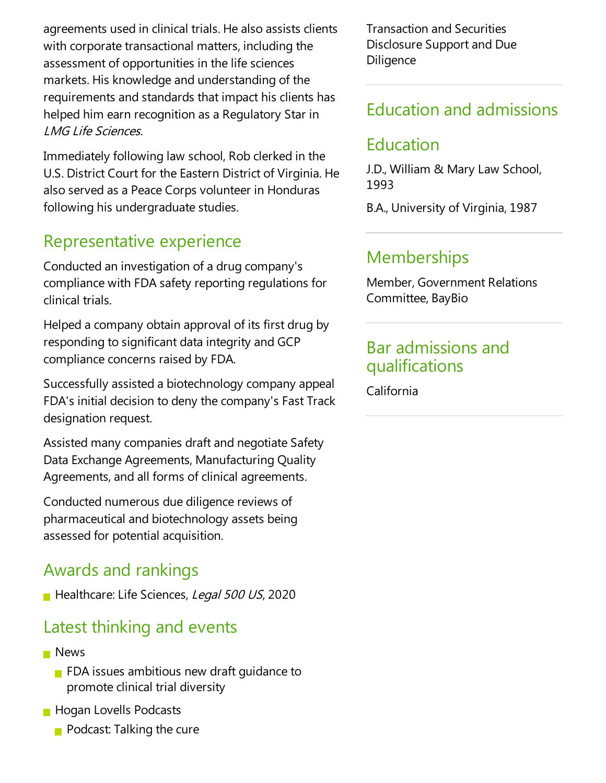agreements used in clinical trials. He also assists clients with corporate transactional matters, including the assessment of opportunities in the life sciences markets. His knowledge and understanding of the requirements and standards that impact his clients has helped him earn recognition as a Regulatory Star in LMG Life Sciences.

Immediately following law school, Rob clerked in the U.S. District Court for the Eastern District of Virginia. He also served as a Peace Corps volunteer in Honduras following his undergraduate studies.

### Representative experience

Conducted an investigation of a drug company's compliance with FDA safety reporting regulations for clinical trials.

Helped acompany obtain approval of its first drug by responding to significant data integrity and GCP compliance concerns raised by FDA.

Successfully assisted a biotechnology company appeal FDA's initial decision to deny the company's Fast Track designation request.

Assisted many companies draft and negotiate Safety Data Exchange Agreements, Manufacturing Quality Agreements, and all forms of clinical agreements.

Conducted numerous due diligence reviews of pharmaceutical and biotechnology assets being assessed for potential acquisition.

### Awards and rankings

Healthcare: Life Sciences, Legal 500 US, 2020

#### Latest thinking and events

- **News** 
	- $\blacksquare$  FDA issues ambitious new draft quidance to promote clinical trial diversity
- **Hogan Lovells Podcasts** 
	- $\blacksquare$  Podcast: Talking the cure

Transaction and Securities Disclosure Support and Due **Diligence** 

# Education and admissions

### Education

J.D., William & Mary Law School, 1993

B.A., University of Virginia, 1987

# **Memberships**

Member, Government Relations Committee, BayBio

#### Bar admissions and qualifications

California